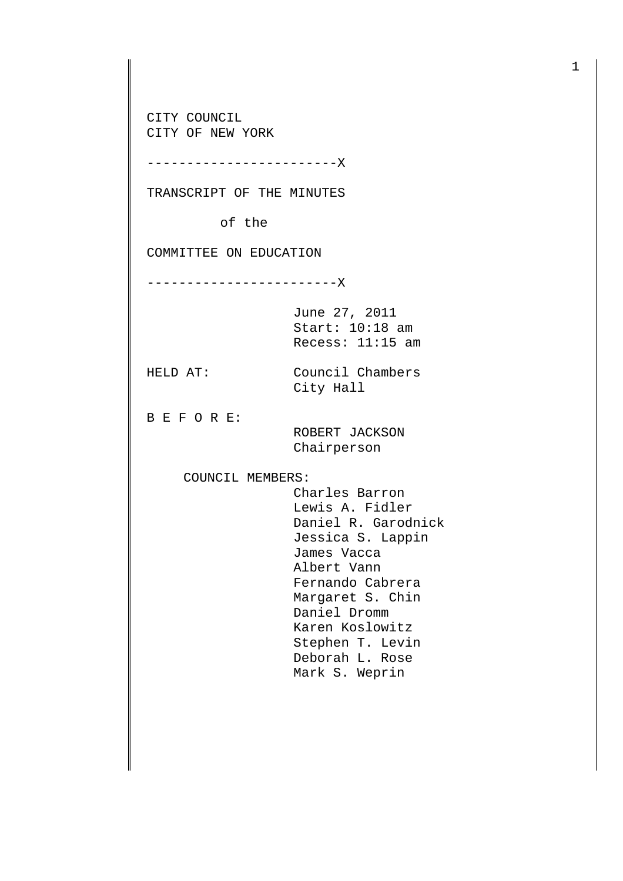CITY COUNCIL CITY OF NEW YORK

------------------------X

TRANSCRIPT OF THE MINUTES

of the

COMMITTEE ON EDUCATION

------------------------X

June 27, 2011 Start: 10:18 am Recess: 11:15 am

HELD AT: Council Chambers City Hall

B E F O R E:

 ROBERT JACKSON Chairperson

COUNCIL MEMBERS:

 Charles Barron Lewis A. Fidler Daniel R. Garodnick Jessica S. Lappin James Vacca Albert Vann Fernando Cabrera Margaret S. Chin Daniel Dromm Karen Koslowitz Stephen T. Levin Deborah L. Rose Mark S. Weprin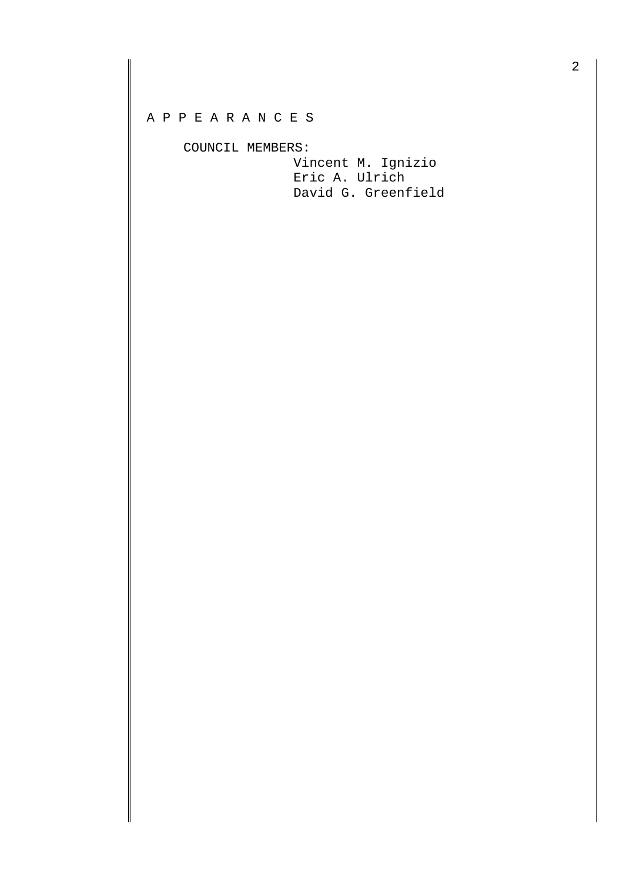## A P P E A R A N C E S

COUNCIL MEMBERS:

 Vincent M. Ignizio Eric A. Ulrich David G. Greenfield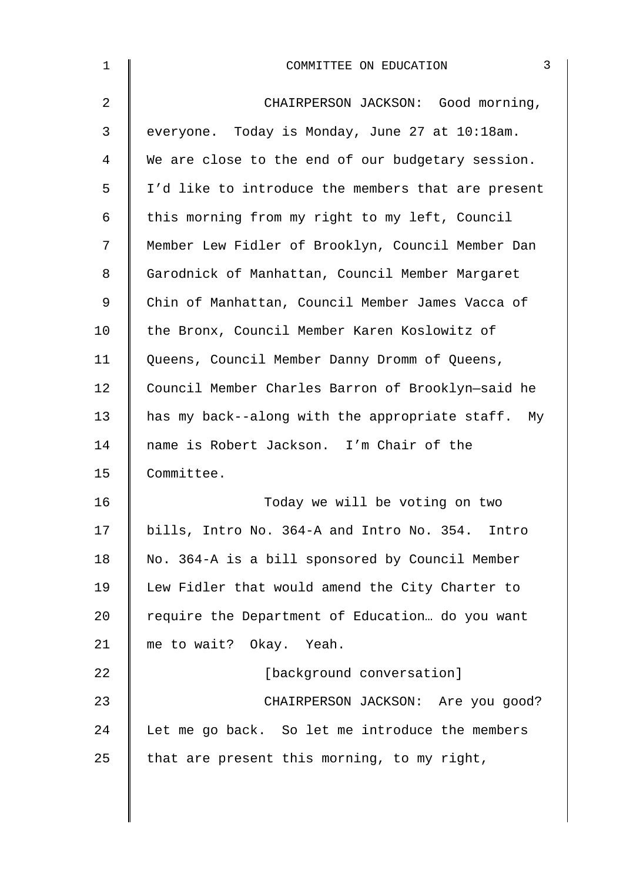| $\mathbf 1$    | 3<br>COMMITTEE ON EDUCATION                        |
|----------------|----------------------------------------------------|
| $\overline{2}$ | CHAIRPERSON JACKSON: Good morning,                 |
| 3              | everyone. Today is Monday, June 27 at 10:18am.     |
| 4              | We are close to the end of our budgetary session.  |
| 5              | I'd like to introduce the members that are present |
| 6              | this morning from my right to my left, Council     |
| 7              | Member Lew Fidler of Brooklyn, Council Member Dan  |
| 8              | Garodnick of Manhattan, Council Member Margaret    |
| 9              | Chin of Manhattan, Council Member James Vacca of   |
| 10             | the Bronx, Council Member Karen Koslowitz of       |
| 11             | Queens, Council Member Danny Dromm of Queens,      |
| 12             | Council Member Charles Barron of Brooklyn-said he  |
| 13             | has my back--along with the appropriate staff. My  |
| 14             | name is Robert Jackson. I'm Chair of the           |
| 15             | Committee.                                         |
| 16             | Today we will be voting on two                     |
| 17             | bills, Intro No. 364-A and Intro No. 354. Intro    |
| 18             | No. 364-A is a bill sponsored by Council Member    |
| 19             | Lew Fidler that would amend the City Charter to    |
| 20             | require the Department of Education do you want    |
| 21             | me to wait? Okay. Yeah.                            |
| 22             | [background conversation]                          |
| 23             | CHAIRPERSON JACKSON: Are you good?                 |
| 24             | Let me go back. So let me introduce the members    |
| 25             | that are present this morning, to my right,        |
|                |                                                    |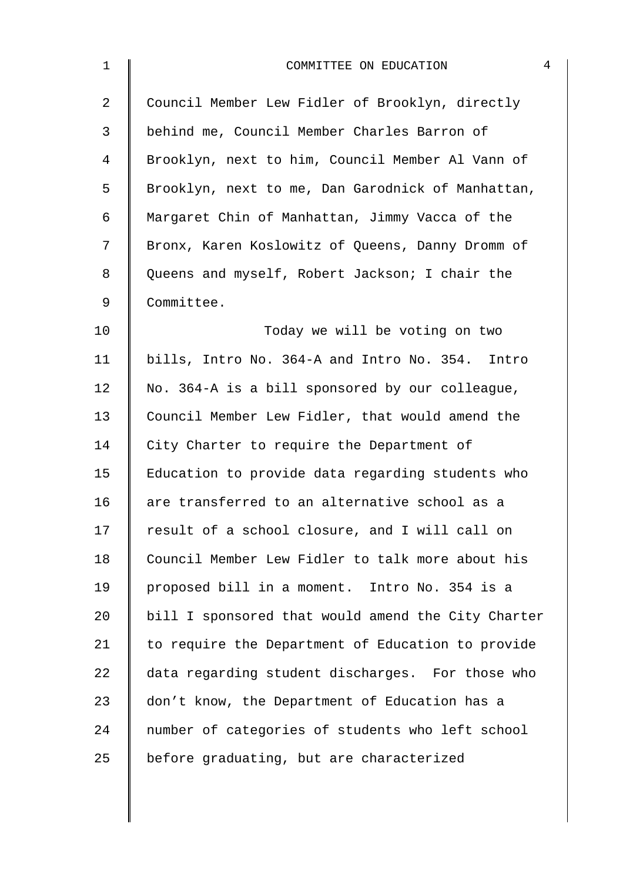| $\mathbf 1$    | COMMITTEE ON EDUCATION                             | $\overline{4}$ |
|----------------|----------------------------------------------------|----------------|
| $\overline{a}$ | Council Member Lew Fidler of Brooklyn, directly    |                |
| 3              | behind me, Council Member Charles Barron of        |                |
| 4              | Brooklyn, next to him, Council Member Al Vann of   |                |
| 5              | Brooklyn, next to me, Dan Garodnick of Manhattan,  |                |
| 6              | Margaret Chin of Manhattan, Jimmy Vacca of the     |                |
| 7              | Bronx, Karen Koslowitz of Queens, Danny Dromm of   |                |
| 8              | Queens and myself, Robert Jackson; I chair the     |                |
| $\mathsf 9$    | Committee.                                         |                |
| 10             | Today we will be voting on two                     |                |
| 11             | bills, Intro No. 364-A and Intro No. 354. Intro    |                |
| 12             | No. 364-A is a bill sponsored by our colleague,    |                |
| 13             | Council Member Lew Fidler, that would amend the    |                |
| 14             | City Charter to require the Department of          |                |
| 15             | Education to provide data regarding students who   |                |
| 16             | are transferred to an alternative school as a      |                |
| 17             | result of a school closure, and I will call on     |                |
| 18             | Council Member Lew Fidler to talk more about his   |                |
| 19             | proposed bill in a moment. Intro No. 354 is a      |                |
| 20             | bill I sponsored that would amend the City Charter |                |
| 21             | to require the Department of Education to provide  |                |
| 22             | data regarding student discharges. For those who   |                |
| 23             | don't know, the Department of Education has a      |                |
| 24             | number of categories of students who left school   |                |
| 25             | before graduating, but are characterized           |                |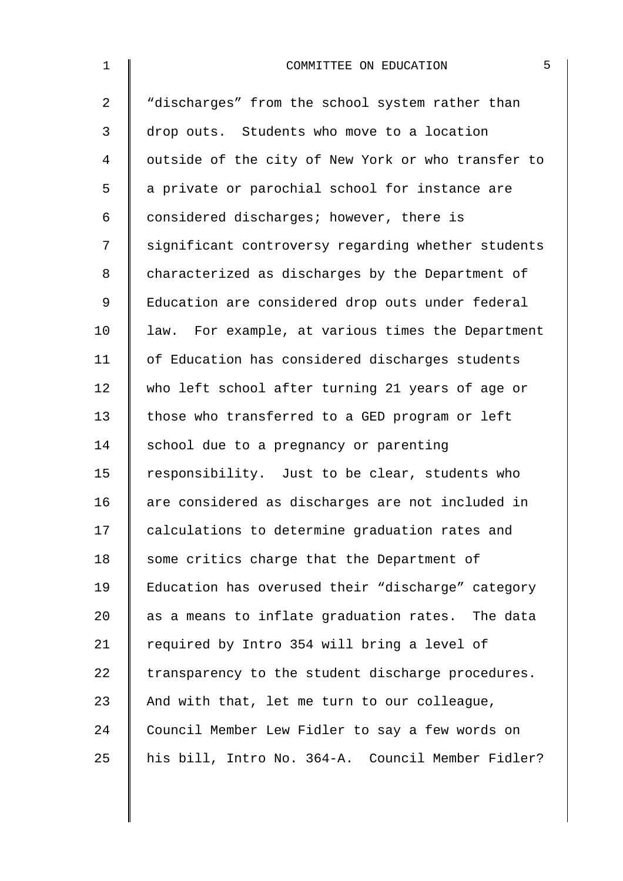| $\mathbf 1$    | 5<br>COMMITTEE ON EDUCATION                        |
|----------------|----------------------------------------------------|
| $\overline{2}$ | "discharges" from the school system rather than    |
| 3              | drop outs. Students who move to a location         |
| 4              | outside of the city of New York or who transfer to |
| 5              | a private or parochial school for instance are     |
| 6              | considered discharges; however, there is           |
| 7              | significant controversy regarding whether students |
| 8              | characterized as discharges by the Department of   |
| 9              | Education are considered drop outs under federal   |
| 10             | law. For example, at various times the Department  |
| 11             | of Education has considered discharges students    |
| 12             | who left school after turning 21 years of age or   |
| 13             | those who transferred to a GED program or left     |
| 14             | school due to a pregnancy or parenting             |
| 15             | responsibility. Just to be clear, students who     |
| 16             | are considered as discharges are not included in   |
| 17             | calculations to determine graduation rates and     |
| 18             | some critics charge that the Department of         |
| 19             | Education has overused their "discharge" category  |
| 20             | as a means to inflate graduation rates. The data   |
| 21             | required by Intro 354 will bring a level of        |
| 22             | transparency to the student discharge procedures.  |
| 23             | And with that, let me turn to our colleague,       |
| 24             | Council Member Lew Fidler to say a few words on    |
| 25             | his bill, Intro No. 364-A. Council Member Fidler?  |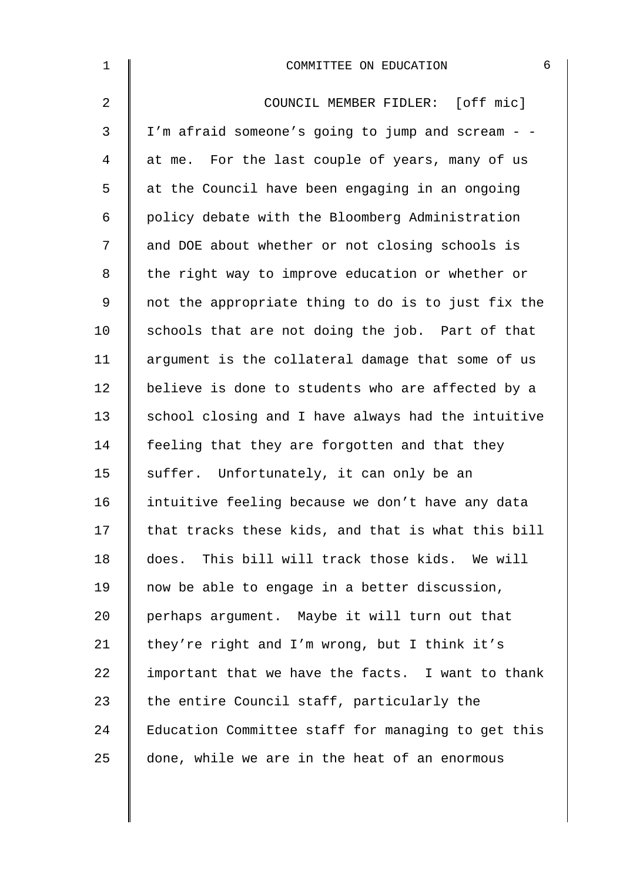| $\mathbf 1$    | 6<br>COMMITTEE ON EDUCATION                        |
|----------------|----------------------------------------------------|
| $\overline{2}$ | COUNCIL MEMBER FIDLER: [off mic]                   |
| 3              | I'm afraid someone's going to jump and scream - -  |
| 4              | at me. For the last couple of years, many of us    |
| 5              | at the Council have been engaging in an ongoing    |
| 6              | policy debate with the Bloomberg Administration    |
| 7              | and DOE about whether or not closing schools is    |
| 8              | the right way to improve education or whether or   |
| $\mathsf 9$    | not the appropriate thing to do is to just fix the |
| 10             | schools that are not doing the job. Part of that   |
| 11             | argument is the collateral damage that some of us  |
| 12             | believe is done to students who are affected by a  |
| 13             | school closing and I have always had the intuitive |
| 14             | feeling that they are forgotten and that they      |
| 15             | suffer. Unfortunately, it can only be an           |
| 16             | intuitive feeling because we don't have any data   |
| 17             | that tracks these kids, and that is what this bill |
| 18             | does. This bill will track those kids. We will     |
| 19             | now be able to engage in a better discussion,      |
| 20             | perhaps argument. Maybe it will turn out that      |
| 21             | they're right and I'm wrong, but I think it's      |
| 22             | important that we have the facts. I want to thank  |
| 23             | the entire Council staff, particularly the         |
| 24             | Education Committee staff for managing to get this |
| 25             | done, while we are in the heat of an enormous      |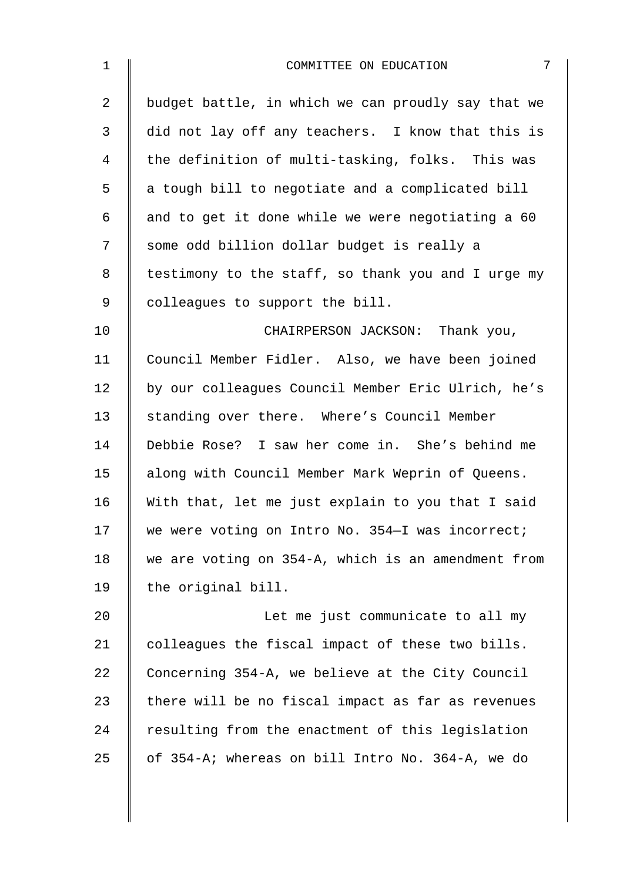| $\mathbf 1$    | 7<br>COMMITTEE ON EDUCATION                        |
|----------------|----------------------------------------------------|
| $\overline{a}$ | budget battle, in which we can proudly say that we |
| $\mathbf{3}$   | did not lay off any teachers. I know that this is  |
| 4              | the definition of multi-tasking, folks. This was   |
| 5              | a tough bill to negotiate and a complicated bill   |
| 6              | and to get it done while we were negotiating a 60  |
| 7              | some odd billion dollar budget is really a         |
| 8              | testimony to the staff, so thank you and I urge my |
| 9              | colleagues to support the bill.                    |
| 10             | CHAIRPERSON JACKSON: Thank you,                    |
| 11             | Council Member Fidler. Also, we have been joined   |
| 12             | by our colleagues Council Member Eric Ulrich, he's |
| 13             | standing over there. Where's Council Member        |
| 14             | Debbie Rose? I saw her come in. She's behind me    |
| 15             | along with Council Member Mark Weprin of Queens.   |
| 16             | With that, let me just explain to you that I said  |
| 17             | we were voting on Intro No. 354-I was incorrect;   |
| 18             | we are voting on 354-A, which is an amendment from |
| 19             | the original bill.                                 |
| 20             | Let me just communicate to all my                  |
| 21             | colleagues the fiscal impact of these two bills.   |
| 22             | Concerning 354-A, we believe at the City Council   |
| 23             | there will be no fiscal impact as far as revenues  |
| 24             | resulting from the enactment of this legislation   |
| 25             | of 354-A; whereas on bill Intro No. 364-A, we do   |
|                |                                                    |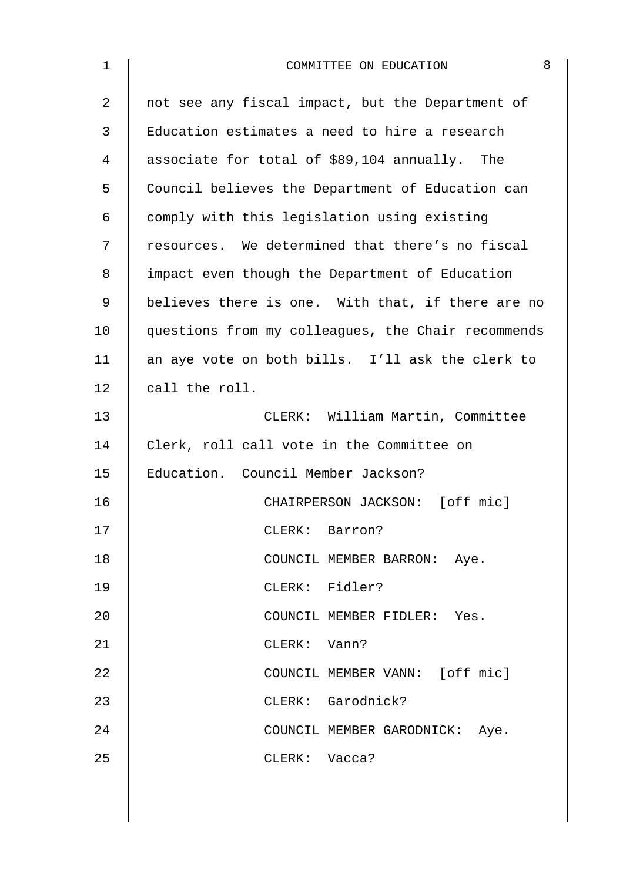| 1  | 8<br>COMMITTEE ON EDUCATION                        |
|----|----------------------------------------------------|
| 2  | not see any fiscal impact, but the Department of   |
| 3  | Education estimates a need to hire a research      |
| 4  | associate for total of \$89,104 annually. The      |
| 5  | Council believes the Department of Education can   |
| 6  | comply with this legislation using existing        |
| 7  | resources. We determined that there's no fiscal    |
| 8  | impact even though the Department of Education     |
| 9  | believes there is one. With that, if there are no  |
| 10 | questions from my colleagues, the Chair recommends |
| 11 | an aye vote on both bills. I'll ask the clerk to   |
| 12 | call the roll.                                     |
| 13 | CLERK: William Martin, Committee                   |
| 14 | Clerk, roll call vote in the Committee on          |
| 15 | Education. Council Member Jackson?                 |
| 16 | CHAIRPERSON JACKSON: [off mic]                     |
| 17 | CLERK: Barron?                                     |
| 18 | COUNCIL MEMBER BARRON: Aye.                        |
| 19 | CLERK: Fidler?                                     |
| 20 | COUNCIL MEMBER FIDLER: Yes.                        |
| 21 | CLERK: Vann?                                       |
| 22 | COUNCIL MEMBER VANN: [off mic]                     |
| 23 | CLERK: Garodnick?                                  |
| 24 | COUNCIL MEMBER GARODNICK: Aye.                     |
| 25 | CLERK: Vacca?                                      |
|    |                                                    |
|    |                                                    |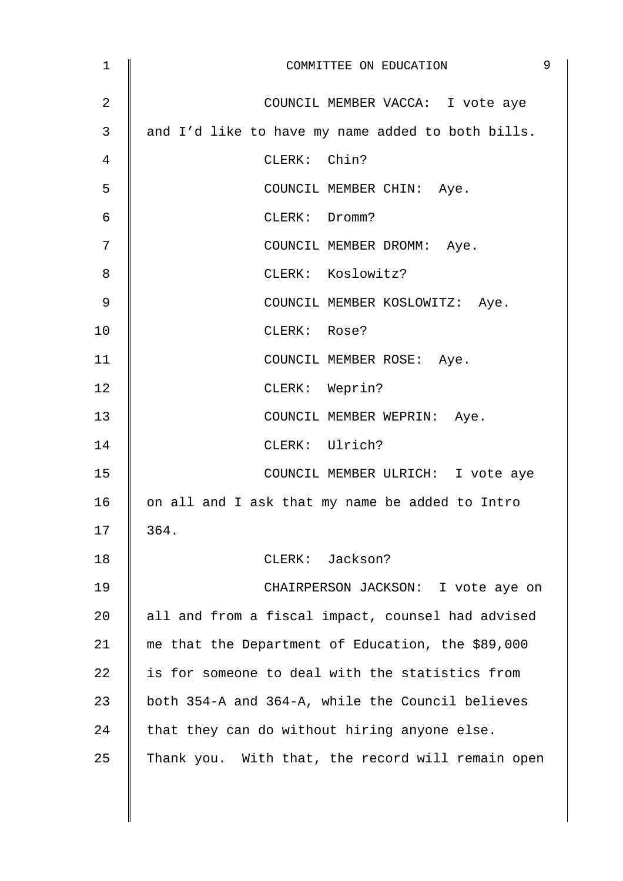| 1              | 9<br>COMMITTEE ON EDUCATION                       |
|----------------|---------------------------------------------------|
| $\overline{2}$ | COUNCIL MEMBER VACCA: I vote aye                  |
| 3              | and I'd like to have my name added to both bills. |
| 4              | CLERK: Chin?                                      |
| 5              | COUNCIL MEMBER CHIN: Aye.                         |
| $\epsilon$     | CLERK: Dromm?                                     |
| 7              | COUNCIL MEMBER DROMM: Aye.                        |
| 8              | CLERK: Koslowitz?                                 |
| 9              | COUNCIL MEMBER KOSLOWITZ: Aye.                    |
| 10             | CLERK: Rose?                                      |
| 11             | COUNCIL MEMBER ROSE: Aye.                         |
| 12             | CLERK: Weprin?                                    |
| 13             | COUNCIL MEMBER WEPRIN: Aye.                       |
| 14             | CLERK: Ulrich?                                    |
| 15             | COUNCIL MEMBER ULRICH: I vote aye                 |
| 16             | on all and I ask that my name be added to Intro   |
| 17             | 364.                                              |
| 18             | CLERK: Jackson?                                   |
| 19             | CHAIRPERSON JACKSON: I vote aye on                |
| 20             | all and from a fiscal impact, counsel had advised |
| 21             | me that the Department of Education, the \$89,000 |
| 22             | is for someone to deal with the statistics from   |
| 23             | both 354-A and 364-A, while the Council believes  |
| 24             | that they can do without hiring anyone else.      |
| 25             | Thank you. With that, the record will remain open |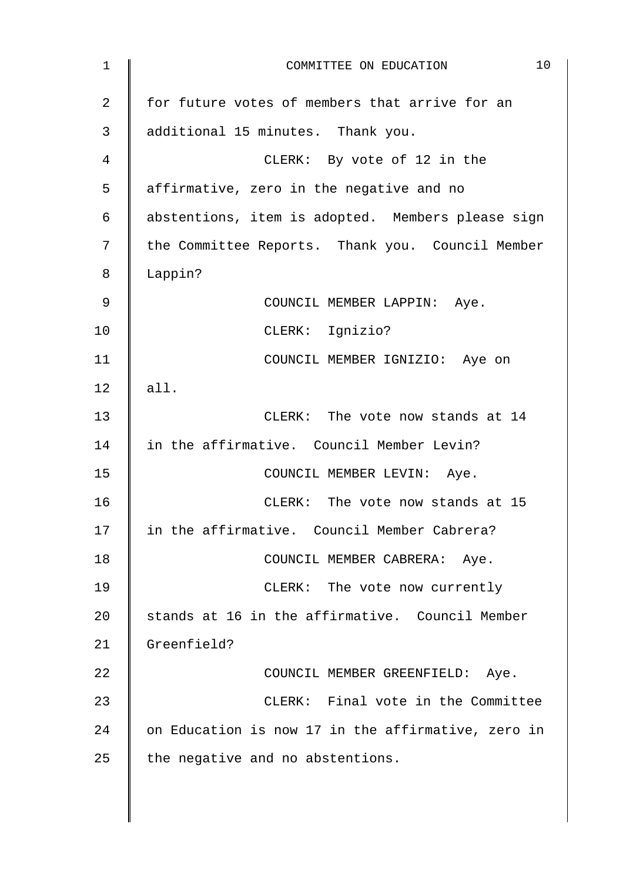| 10<br>COMMITTEE ON EDUCATION                       |
|----------------------------------------------------|
| for future votes of members that arrive for an     |
| additional 15 minutes. Thank you.                  |
| CLERK: By vote of 12 in the                        |
| affirmative, zero in the negative and no           |
| abstentions, item is adopted. Members please sign  |
| the Committee Reports. Thank you. Council Member   |
| Lappin?                                            |
| COUNCIL MEMBER LAPPIN: Aye.                        |
| CLERK: Ignizio?                                    |
| COUNCIL MEMBER IGNIZIO: Aye on                     |
| all.                                               |
| CLERK: The vote now stands at 14                   |
| in the affirmative. Council Member Levin?          |
| COUNCIL MEMBER LEVIN: Aye.                         |
| CLERK: The vote now stands at 15                   |
| in the affirmative. Council Member Cabrera?        |
| COUNCIL MEMBER CABRERA: Aye.                       |
| CLERK: The vote now currently                      |
| stands at 16 in the affirmative. Council Member    |
| Greenfield?                                        |
| COUNCIL MEMBER GREENFIELD: Aye.                    |
| CLERK: Final vote in the Committee                 |
| on Education is now 17 in the affirmative, zero in |
| the negative and no abstentions.                   |
|                                                    |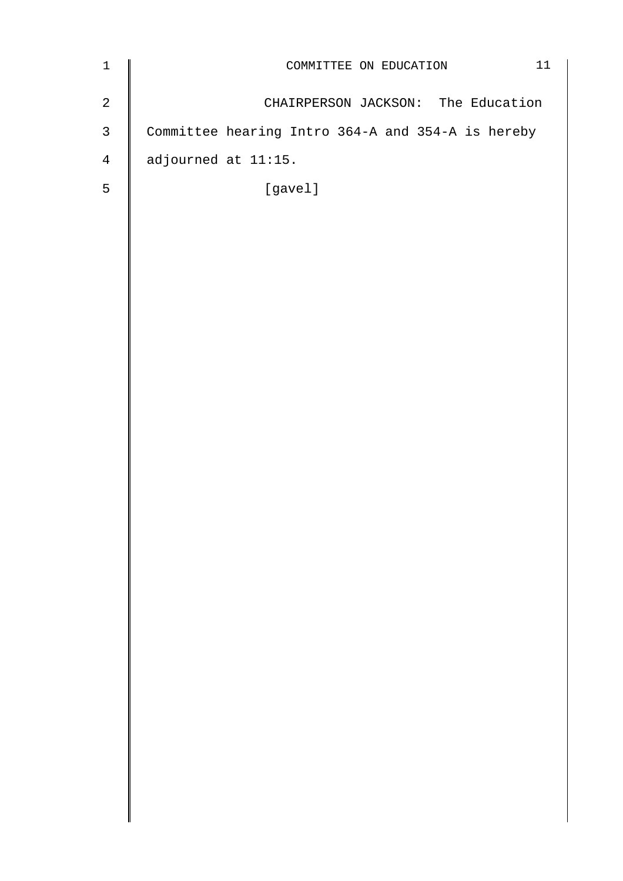| $\mathbf 1$    | 11<br>COMMITTEE ON EDUCATION                      |
|----------------|---------------------------------------------------|
| $\sqrt{2}$     | CHAIRPERSON JACKSON: The Education                |
| $\mathfrak{Z}$ | Committee hearing Intro 364-A and 354-A is hereby |
| $\overline{4}$ | adjourned at 11:15.                               |
| $\overline{5}$ | [gavel]                                           |
|                |                                                   |
|                |                                                   |
|                |                                                   |
|                |                                                   |
|                |                                                   |
|                |                                                   |
|                |                                                   |
|                |                                                   |
|                |                                                   |
|                |                                                   |
|                |                                                   |
|                |                                                   |
|                |                                                   |
|                |                                                   |
|                |                                                   |
|                |                                                   |
|                |                                                   |
|                |                                                   |
|                |                                                   |
|                |                                                   |
|                |                                                   |
|                |                                                   |